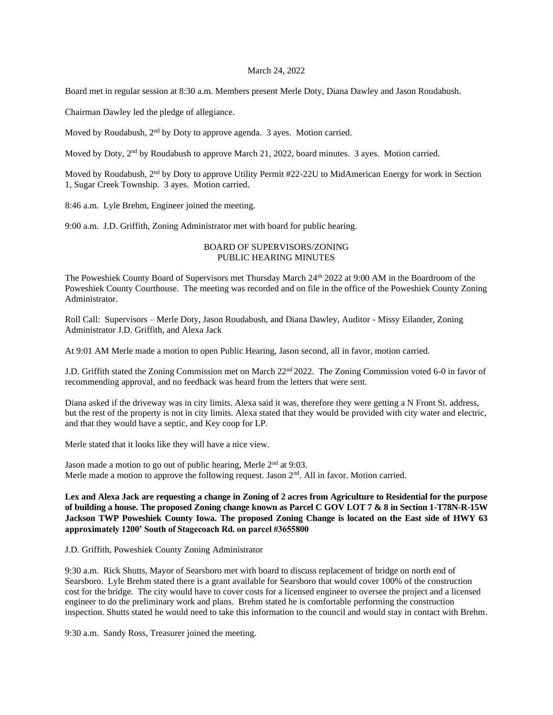## March 24, 2022

Board met in regular session at 8:30 a.m. Members present Merle Doty, Diana Dawley and Jason Roudabush.

Chairman Dawley led the pledge of allegiance.

Moved by Roudabush, 2<sup>nd</sup> by Doty to approve agenda. 3 ayes. Motion carried.

Moved by Doty, 2<sup>nd</sup> by Roudabush to approve March 21, 2022, board minutes. 3 ayes. Motion carried.

Moved by Roudabush, 2<sup>nd</sup> by Doty to approve Utility Permit #22-22U to MidAmerican Energy for work in Section 1, Sugar Creek Township. 3 ayes. Motion carried.

8:46 a.m. Lyle Brehm, Engineer joined the meeting.

9:00 a.m. J.D. Griffith, Zoning Administrator met with board for public hearing.

## BOARD OF SUPERVISORS/ZONING PUBLIC HEARING MINUTES

The Poweshiek County Board of Supervisors met Thursday March 24<sup>th</sup> 2022 at 9:00 AM in the Boardroom of the Poweshiek County Courthouse. The meeting was recorded and on file in the office of the Poweshiek County Zoning Administrator.

Roll Call: Supervisors – Merle Doty, Jason Roudabush, and Diana Dawley, Auditor - Missy Eilander, Zoning Administrator J.D. Griffith, and Alexa Jack

At 9:01 AM Merle made a motion to open Public Hearing, Jason second, all in favor, motion carried.

J.D. Griffith stated the Zoning Commission met on March 22nd 2022. The Zoning Commission voted 6-0 in favor of recommending approval, and no feedback was heard from the letters that were sent.

Diana asked if the driveway was in city limits. Alexa said it was, therefore they were getting a N Front St. address, but the rest of the property is not in city limits. Alexa stated that they would be provided with city water and electric, and that they would have a septic, and Key coop for LP.

Merle stated that it looks like they will have a nice view.

Jason made a motion to go out of public hearing, Merle 2<sup>nd</sup> at 9:03. Merle made a motion to approve the following request. Jason  $2<sup>nd</sup>$ . All in favor. Motion carried.

**Lex and Alexa Jack are requesting a change in Zoning of 2 acres from Agriculture to Residential for the purpose of building a house. The proposed Zoning change known as Parcel C GOV LOT 7 & 8 in Section 1-T78N-R-15W Jackson TWP Poweshiek County Iowa. The proposed Zoning Change is located on the East side of HWY 63 approximately 1200' South of Stagecoach Rd. on parcel #3655800**

J.D. Griffith, Poweshiek County Zoning Administrator

9:30 a.m. Rick Shutts, Mayor of Searsboro met with board to discuss replacement of bridge on north end of Searsboro. Lyle Brehm stated there is a grant available for Searsboro that would cover 100% of the construction cost for the bridge. The city would have to cover costs for a licensed engineer to oversee the project and a licensed engineer to do the preliminary work and plans. Brehm stated he is comfortable performing the construction inspection. Shutts stated he would need to take this information to the council and would stay in contact with Brehm.

9:30 a.m. Sandy Ross, Treasurer joined the meeting.